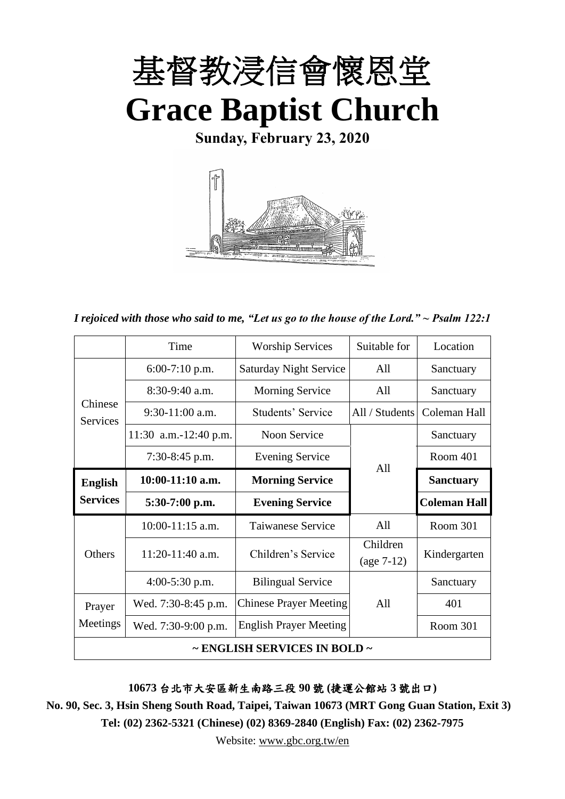

**Sunday, February 23, 2020**



*I rejoiced with those who said to me, "Let us go to the house of the Lord." ~ Psalm 122:1*

|                            | Time                  | <b>Worship Services</b>       | Suitable for   | Location            |
|----------------------------|-----------------------|-------------------------------|----------------|---------------------|
|                            | $6:00-7:10$ p.m.      | <b>Saturday Night Service</b> | All            | Sanctuary           |
|                            | $8:30-9:40$ a.m.      | <b>Morning Service</b>        | All            | Sanctuary           |
| Chinese<br><b>Services</b> | $9:30-11:00$ a.m.     | Students' Service             | All / Students | Coleman Hall        |
|                            | 11:30 a.m.-12:40 p.m. | Noon Service                  |                | Sanctuary           |
|                            | $7:30-8:45$ p.m.      | <b>Evening Service</b>        | All            | Room 401            |
| <b>English</b>             | $10:00-11:10$ a.m.    | <b>Morning Service</b>        |                | <b>Sanctuary</b>    |
| <b>Services</b>            | $5:30-7:00$ p.m.      | <b>Evening Service</b>        |                | <b>Coleman Hall</b> |
|                            | $10:00-11:15$ a.m.    | Taiwanese Service             | All            | Room 301            |
| <b>Others</b>              | $11:20-11:40$ a.m.    | Children's Service            | Children       | Kindergarten        |
|                            |                       |                               | $(age 7-12)$   |                     |
|                            | $4:00-5:30$ p.m.      | <b>Bilingual Service</b>      |                | Sanctuary           |
| Prayer                     | Wed. 7:30-8:45 p.m.   | <b>Chinese Prayer Meeting</b> | All            | 401                 |
| Meetings                   | Wed. 7:30-9:00 p.m.   | <b>English Prayer Meeting</b> |                | Room 301            |
|                            |                       | ~ ENGLISH SERVICES IN BOLD ~  |                |                     |

**10673** 台北市大安區新生南路三段 **90** 號 **(**捷運公館站 **3** 號出口**)**

**No. 90, Sec. 3, Hsin Sheng South Road, Taipei, Taiwan 10673 (MRT Gong Guan Station, Exit 3) Tel: (02) 2362-5321 (Chinese) (02) 8369-2840 (English) Fax: (02) 2362-7975**

Website: [www.gbc.org.tw/en](http://www.gbc.org.tw/en)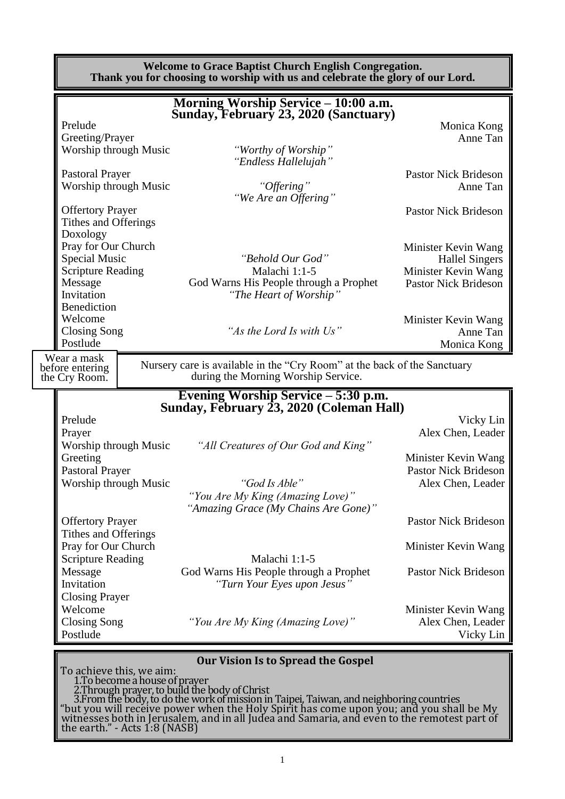**Welcome to Grace Baptist Church English Congregation. Thank you for choosing to worship with us and celebrate the glory of our Lord. Morning Worship Service – 10:00 a.m. Sunday, February 23, 2020 (Sanctuary)** Prelude Monica Kong Greeting/Prayer Anne Tan Worship through Music *"Worthy of Worship" "Endless Hallelujah"* Pastoral Prayer Pastor Nick Brideson Worship through Music *"Offering"* Anne Tan *"We Are an Offering"* Offertory Prayer Pastor Nick Brideson Tithes and Offerings Doxology Pray for Our Church Minister Kevin Wang<br>
Special Music "Behold Our God" Hallel Singers "Behold Our God" Hallel Singers Scripture Reading Malachi 1:1-5 Minister Kevin Wang Message God Warns His People through a Prophet Pastor Nick Brideson<br>Invitation "The Heart of Worship" "The Heart of Worship" Benediction Welcome Minister Kevin Wang Closing Song *"As the Lord Is with Us"* Anne Tan Postlude **Anne Tan** Postlude **Anne Tan** Monica Kong Nursery care is available in the "Cry Room" at the back of the Sanctuary during the Morning Worship Service. **Evening Worship Service – 5:30 p.m. Sunday, February 23, 2020 (Coleman Hall)** Prelude Vicky Lin Prayer Alex Chen, Leader Worship through Music *"All Creatures of Our God and King"* Greeting Minister Kevin Wang Pastoral Prayer Pastor Nick Brideson Worship through Music *"God Is Able"* Alex Chen, Leader *"You Are My King (Amazing Love)" "Amazing Grace (My Chains Are Gone)"* Offertory Prayer Pastor Nick Brideson Tithes and Offerings Pray for Our Church **Minister Kevin Wang** Scripture Reading Malachi 1:1-5 Message God Warns His People through a Prophet Pastor Nick Brideson Invitation *"Turn Your Eyes upon Jesus"* Closing Prayer Welcome Minister Kevin Wang<br>Closing Song "You Are My King (Amazing Love)" Alex Chen, Leader *Closing Song "You Are My King (Amazing Love)"* Postlude Vicky Lin **Our Vision Is to Spread the Gospel** To achieve this, we aim: 1.To become a house of prayer 2.Through prayer, to build the body of Christ Wear a mask before entering the Cry Room.

3.From the body, to do the work of mission in Taipei, Taiwan, and neighboring countries "but you will receive power when the Holy Spirit has come upon you; and you shall be My $_{\rm s}$ witnesses both in Jerusalem, and in all Judea and Samaria, and even to the remotest part of the earth." - Acts 1:8 (NASB)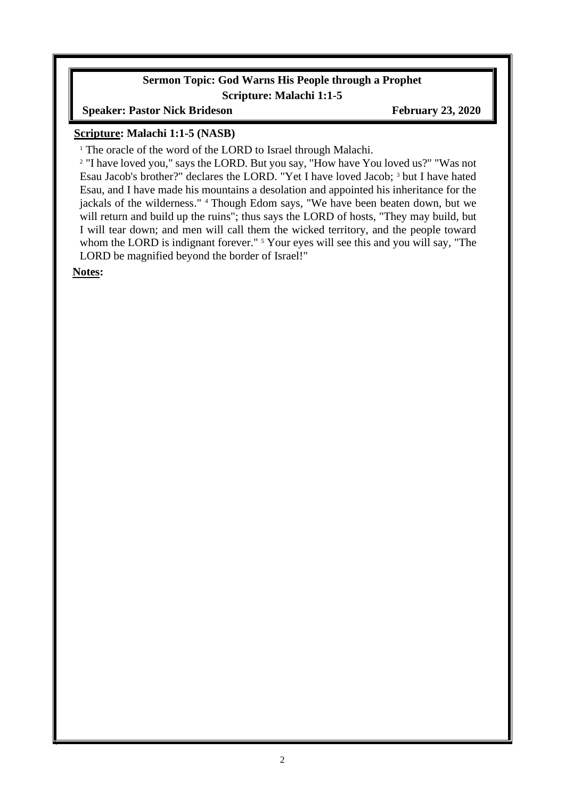#### **Sermon Topic: God Warns His People through a Prophet Scripture: Malachi 1:1-5**

**Speaker: Pastor Nick Brideson February 23, 2020** 

### **Scripture: Malachi 1:1-5 (NASB)**

<sup>1</sup> The oracle of the word of the LORD to Israel through Malachi.

<sup>2</sup> "I have loved you," says the LORD. But you say, "How have You loved us?" "Was not Esau Jacob's brother?" declares the LORD. "Yet I have loved Jacob; <sup>3</sup> but I have hated Esau, and I have made his mountains a desolation and appointed his inheritance for the jackals of the wilderness." <sup>4</sup> Though Edom says, "We have been beaten down, but we will return and build up the ruins"; thus says the LORD of hosts, "They may build, but I will tear down; and men will call them the wicked territory, and the people toward whom the LORD is indignant forever." <sup>5</sup> Your eyes will see this and you will say, "The LORD be magnified beyond the border of Israel!"

**Notes:**

 $\overline{\phantom{a}}$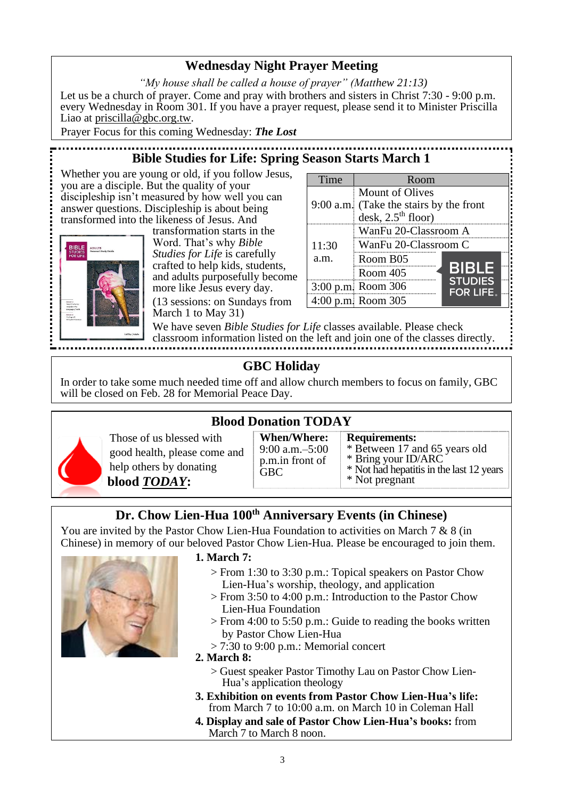# **Wednesday Night Prayer Meeting**

*"My house shall be called a house of prayer" (Matthew 21:13)* Let us be a church of prayer. Come and pray with brothers and sisters in Christ 7:30 - 9:00 p.m. every Wednesday in Room 301. If you have a prayer request, please send it to Minister Priscilla Liao at [priscilla@gbc.org.tw.](mailto:priscilla@gbc.org.tw)

Prayer Focus for this coming Wednesday: *The Lost*

# **Bible Studies for Life: Spring Season Starts March 1**

Whether you are young or old, if you follow Jesus, you are a disciple. But the quality of your discipleship isn't measured by how well you can answer questions. Discipleship is about being transformed into the likeness of Jesus. And



transformation starts in the Word. That's why *Bible Studies for Life* is carefully crafted to help kids, students, and adults purposefully become more like Jesus every day. (13 sessions: on Sundays from March 1 to May 31)

| Time  | Room                                                                               |                                    |
|-------|------------------------------------------------------------------------------------|------------------------------------|
|       | Mount of Olives<br>9:00 a.m. (Take the stairs by the front<br>desk, $2.5th$ floor) |                                    |
| 11:30 | WanFu 20-Classroom A<br>WanFu 20-Classroom C                                       |                                    |
| a.m.  | Room B05                                                                           |                                    |
|       | Room 405                                                                           | <b>BIBLE</b>                       |
|       | 3:00 p.m. Room 306                                                                 | <b>STUDIES</b><br><b>FOR LIFE.</b> |
|       | 4:00 p.m. Room 305                                                                 |                                    |

We have seven *Bible Studies for Life* classes available. Please check classroom information listed on the left and join one of the classes directly.

# **GBC Holiday**

In order to take some much needed time off and allow church members to focus on family, GBC will be closed on Feb. 28 for Memorial Peace Day.



**Blood Donation TODAY**



**When/Where:** 9:00 a.m.–5:00 p.m.in front of **GBC Requirements:** \* Between 17 and 65 years old  $*$  Bring your ID/ARC Bring your ID/ARC \* Not had hepatitis in the last 12 years \* Not pregnant

# **Dr. Chow Lien-Hua 100th Anniversary Events (in Chinese)**

You are invited by the Pastor Chow Lien-Hua Foundation to activities on March 7 & 8 (in Chinese) in memory of our beloved Pastor Chow Lien-Hua. Please be encouraged to join them.



#### **1. March 7:**

- > From 1:30 to 3:30 p.m.: Topical speakers on Pastor Chow Lien-Hua's worship, theology, and application
- > From 3:50 to 4:00 p.m.: Introduction to the Pastor Chow Lien-Hua Foundation
- > From 4:00 to 5:50 p.m.: Guide to reading the books written by Pastor Chow Lien-Hua
- > 7:30 to 9:00 p.m.: Memorial concert

#### **2. March 8:**

- > Guest speaker Pastor Timothy Lau on Pastor Chow Lien-Hua's application theology
- **3. Exhibition on events from Pastor Chow Lien-Hua's life:** from March 7 to 10:00 a.m. on March 10 in Coleman Hall
- **4. Display and sale of Pastor Chow Lien-Hua's books:** from March 7 to March 8 noon.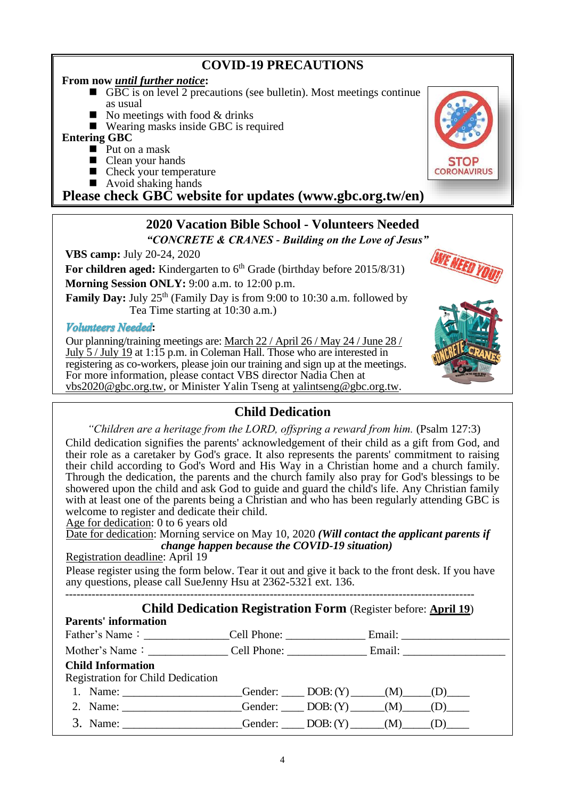# **COVID-19 PRECAUTIONS**

#### **From now** *until further notice***:**

- $\blacksquare$  GBC is on level 2 precautions (see bulletin). Most meetings continue as usual
- No meetings with food  $&$  drinks
- Wearing masks inside GBC is required

#### **Entering GBC**

- Put on a mask
- Clean your hands
- $\blacksquare$  Check your temperature
- $\blacksquare$  Avoid shaking hands

**Please check GBC website for updates (www.gbc.org.tw/en)**

#### **2020 Vacation Bible School - Volunteers Needed** *"CONCRETE & CRANES - Building on the Love of Jesus"*

**VBS camp:** July 20-24, 2020

**For children aged:** Kindergarten to 6<sup>th</sup> Grade (birthday before 2015/8/31)

**Morning Session ONLY:** 9:00 a.m. to 12:00 p.m.

**Family Day:** July 25<sup>th</sup> (Family Day is from 9:00 to 10:30 a.m. followed by Tea Time starting at 10:30 a.m.)

#### **Volunteers** Needed:

Our planning/training meetings are: March 22 / April 26 / May 24 / June 28 / July 5 / July 19 at 1:15 p.m. in Coleman Hall. Those who are interested in registering as co-workers, please join our training and sign up at the meetings. For more information, please contact VBS director Nadia Chen at [vbs2020@gbc.org.tw,](mailto:vbs2020@gbc.org.tw) or Minister Yalin Tseng at [yalintseng@gbc.org.tw.](mailto:yalintseng@gbc.org.tw)

## **Child Dedication**

*"Children are a heritage from the LORD, offspring a reward from him.* (Psalm 127:3)

Child dedication signifies the parents' acknowledgement of their child as a gift from God, and their role as a caretaker by God's grace. It also represents the parents' commitment to raising their child according to God's Word and His Way in a Christian home and a church family. Through the dedication, the parents and the church family also pray for God's blessings to be showered upon the child and ask God to guide and guard the child's life. Any Christian family with at least one of the parents being a Christian and who has been regularly attending GBC is welcome to register and dedicate their child.

Age for dedication: 0 to 6 years old

Date for dedication: Morning service on May 10, 2020 *(Will contact the applicant parents if change happen because the COVID-19 situation)*

Registration deadline: April 19

Please register using the form below. Tear it out and give it back to the front desk. If you have any questions, please call SueJenny Hsu at 2362-5321 ext. 136.

 **Child Dedication Registration Form** (Register before: **April 19**)

------------------------------------------------------------------------------------------------------------

| China Deurcation Registration Form (Register before. April 19)          |  |  |  |
|-------------------------------------------------------------------------|--|--|--|
| <b>Parents' information</b>                                             |  |  |  |
|                                                                         |  |  |  |
|                                                                         |  |  |  |
| <b>Child Information</b>                                                |  |  |  |
| <b>Registration for Child Dedication</b>                                |  |  |  |
| 1. Name: ____________________Gender: _____ DOB: $(Y)$ ______(M) ____(D) |  |  |  |
| 2. Name: ___________________Gender: _____DOB: $(Y)$ ______(M) ____(D)   |  |  |  |
| 3. Name: ___________________Gender: ____DOB: $(Y)$ _____(M) ____(D)     |  |  |  |





WE NEED YO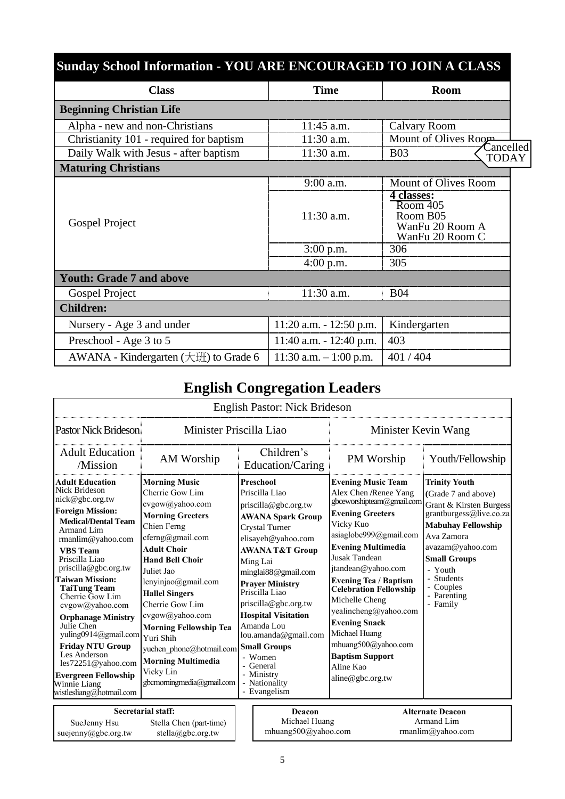| <b>Sunday School Information - YOU ARE ENCOURAGED TO JOIN A CLASS</b> |                            |                                                                                              |
|-----------------------------------------------------------------------|----------------------------|----------------------------------------------------------------------------------------------|
| <b>Class</b>                                                          | <b>Time</b>                | <b>Room</b>                                                                                  |
| <b>Beginning Christian Life</b>                                       |                            |                                                                                              |
| Alpha - new and non-Christians                                        | $11:45$ a.m.               | Calvary Room                                                                                 |
| Christianity 101 - required for baptism                               | 11:30 a.m.                 | Mount of Olives Room                                                                         |
| Daily Walk with Jesus - after baptism                                 | 11:30 a.m.                 | Cancelled<br><b>B03</b><br><b>TODAY</b>                                                      |
| <b>Maturing Christians</b>                                            |                            |                                                                                              |
|                                                                       | 9:00 a.m.                  | Mount of Olives Room                                                                         |
| Gospel Project                                                        | 11:30 a.m.                 | 4 classes:<br>$\overline{\text{Room }405}$<br>Room B05<br>WanFu 20 Room A<br>WanFu 20 Room C |
|                                                                       | $3:00$ p.m.                | 306                                                                                          |
|                                                                       | $4:00$ p.m.                | 305                                                                                          |
| <b>Youth: Grade 7 and above</b>                                       |                            |                                                                                              |
| Gospel Project                                                        | 11:30 a.m.                 | <b>B04</b>                                                                                   |
| <b>Children:</b>                                                      |                            |                                                                                              |
| Nursery - Age 3 and under                                             | $11:20$ a.m. $-12:50$ p.m. | Kindergarten                                                                                 |
| Preschool - Age 3 to 5                                                | $11:40$ a.m. $-12:40$ p.m. | 403                                                                                          |
| AWANA - Kindergarten (大班) to Grade 6                                  | $11:30$ a.m. $-1:00$ p.m.  | 401/404                                                                                      |

# **English Congregation Leaders**

|                                                                                                                                                                                                                                                                                                                                                                                                                                                                                                                           |                                                                                                                                                                                                                                                                                                                                                                                                                               | <b>English Pastor: Nick Brideson</b>                                                                                                                                                                                                                                                                                                                                                                                           |                                                                                                                                                                                                                                                                                                                                                                                                                                                              |                                                                                                                                                                                                                                                               |
|---------------------------------------------------------------------------------------------------------------------------------------------------------------------------------------------------------------------------------------------------------------------------------------------------------------------------------------------------------------------------------------------------------------------------------------------------------------------------------------------------------------------------|-------------------------------------------------------------------------------------------------------------------------------------------------------------------------------------------------------------------------------------------------------------------------------------------------------------------------------------------------------------------------------------------------------------------------------|--------------------------------------------------------------------------------------------------------------------------------------------------------------------------------------------------------------------------------------------------------------------------------------------------------------------------------------------------------------------------------------------------------------------------------|--------------------------------------------------------------------------------------------------------------------------------------------------------------------------------------------------------------------------------------------------------------------------------------------------------------------------------------------------------------------------------------------------------------------------------------------------------------|---------------------------------------------------------------------------------------------------------------------------------------------------------------------------------------------------------------------------------------------------------------|
| Pastor Nick Brideson                                                                                                                                                                                                                                                                                                                                                                                                                                                                                                      | Minister Priscilla Liao                                                                                                                                                                                                                                                                                                                                                                                                       |                                                                                                                                                                                                                                                                                                                                                                                                                                | Minister Kevin Wang                                                                                                                                                                                                                                                                                                                                                                                                                                          |                                                                                                                                                                                                                                                               |
| <b>Adult Education</b><br>/Mission                                                                                                                                                                                                                                                                                                                                                                                                                                                                                        | AM Worship                                                                                                                                                                                                                                                                                                                                                                                                                    | Children's<br>Education/Caring                                                                                                                                                                                                                                                                                                                                                                                                 | PM Worship                                                                                                                                                                                                                                                                                                                                                                                                                                                   | Youth/Fellowship                                                                                                                                                                                                                                              |
| <b>Adult Education</b><br>Nick Brideson<br>nick@gbc.org.tw<br><b>Foreign Mission:</b><br><b>Medical/Dental Team</b><br>Armand Lim<br>rmanlim@yahoo.com<br><b>VBS</b> Team<br>Priscilla Liao<br>priscilla@gbc.org.tw<br><b>Taiwan Mission:</b><br><b>TaiTung Team</b><br>Cherrie Gow Lim<br>cvgow@yahoo.com<br><b>Orphanage Ministry</b><br>Julie Chen<br>yuling0914@gmail.com<br><b>Friday NTU Group</b><br>Les Anderson<br>les72251@yahoo.com<br><b>Evergreen Fellowship</b><br>Winnie Liang<br>wistlesliang@hotmail.com | <b>Morning Music</b><br>Cherrie Gow Lim<br>cvgow@yahoo.com<br><b>Morning Greeters</b><br>Chien Ferng<br>cferng@gmail.com<br><b>Adult Choir</b><br><b>Hand Bell Choir</b><br>Juliet Jao<br>lenyinjao@gmail.com<br><b>Hallel Singers</b><br>Cherrie Gow Lim<br>cvgow@yahoo.com<br><b>Morning Fellowship Tea</b><br>Yuri Shih<br>yuchen phone@hotmail.com<br><b>Morning Multimedia</b><br>Vicky Lin<br>gbcmorningmedia@gmail.com | Preschool<br>Priscilla Liao<br>priscilla@gbc.org.tw<br><b>AWANA Spark Group</b><br>Crystal Turner<br>elisayeh@yahoo.com<br><b>AWANA T&amp;T Group</b><br>Ming Lai<br>minglai88@gmail.com<br><b>Prayer Ministry</b><br>Priscilla Liao<br>priscilla@gbc.org.tw<br><b>Hospital Visitation</b><br>Amanda Lou<br>lou.amanda@gmail.com<br><b>Small Groups</b><br>- Women<br>- General<br>- Ministry<br>- Nationality<br>- Evangelism | <b>Evening Music Team</b><br>Alex Chen /Renee Yang<br>gbceworshipteam@gmail.com<br><b>Evening Greeters</b><br>Vicky Kuo<br>asiaglobe999@gmail.com<br><b>Evening Multimedia</b><br>Jusak Tandean<br>jtandean@yahoo.com<br><b>Evening Tea / Baptism</b><br><b>Celebration Fellowship</b><br>Michelle Cheng<br>yealincheng@yahoo.com<br><b>Evening Snack</b><br>Michael Huang<br>mhuang500@yahoo.com<br><b>Baptism Support</b><br>Aline Kao<br>aline@gbc.org.tw | <b>Trinity Youth</b><br>(Grade 7 and above)<br>Grant & Kirsten Burgess<br>grantburgess@live.co.za<br><b>Mabuhay Fellowship</b><br>Ava Zamora<br>avazam@yahoo.com<br><b>Small Groups</b><br>- Youth<br><b>Students</b><br>- Couples<br>- Parenting<br>- Family |
| SueJenny Hsu                                                                                                                                                                                                                                                                                                                                                                                                                                                                                                              | Secretarial staff:<br>Stella Chen (part-time)                                                                                                                                                                                                                                                                                                                                                                                 | Deacon<br>Michael Huang                                                                                                                                                                                                                                                                                                                                                                                                        |                                                                                                                                                                                                                                                                                                                                                                                                                                                              | <b>Alternate Deacon</b><br>Armand Lim                                                                                                                                                                                                                         |

stella@gbc.org.tw

suejenny@gbc.org.tw

mhuang500@yahoo.com Armand Lim rmanlim@yahoo.com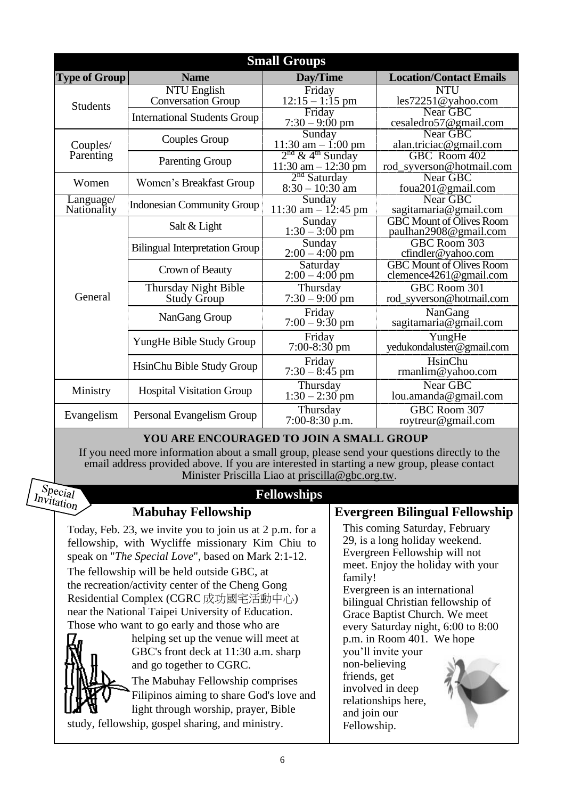|                          |                                          | <b>Small Groups</b>                                       |                                                           |
|--------------------------|------------------------------------------|-----------------------------------------------------------|-----------------------------------------------------------|
| <b>Type of Group</b>     | <b>Name</b>                              | Day/Time                                                  | <b>Location/Contact Emails</b>                            |
| <b>Students</b>          | NTU English<br><b>Conversation Group</b> | Friday<br>$12:15 - 1:15$ pm                               | <b>NTU</b><br>les72251@yahoo.com                          |
|                          | <b>International Students Group</b>      | Friday<br>$7:30 - 9:00$ pm                                | Near GBC<br>cesaledro57@gmail.com                         |
| Couples/                 | Couples Group                            | Sunday<br>11:30 am $-$ 1:00 pm                            | Near GBC<br>alan.triciac@gmail.com                        |
| Parenting                | <b>Parenting Group</b>                   | $2nd$ & 4 <sup>th</sup> Sunday<br>$11:30$ am $- 12:30$ pm | GBC Room 402<br>rod_syverson@hotmail.com                  |
| Women                    | Women's Breakfast Group                  | $2nd$ Saturday<br>$8:30 - 10:30$ am                       | Near GBC<br>foua201@gmail.com                             |
| Language/<br>Nationality | Indonesian Community Group               | Sunday<br>11:30 am $- 12:45$ pm                           | Near GBC<br>sagitamaria@gmail.com                         |
|                          | Salt & Light                             | Sunday<br>$1:30 - 3:00 \text{ pm}$                        | <b>GBC Mount of Olives Room</b><br>paulhan2908@gmail.com  |
|                          | <b>Bilingual Interpretation Group</b>    | Sunday<br>$2:00 - 4:00$ pm                                | GBC Room 303<br>cfindler@yahoo.com                        |
|                          | Crown of Beauty                          | Saturday<br>$2:00 - 4:00$ pm                              | <b>GBC Mount of Olives Room</b><br>clemence4261@gmail.com |
| General                  | Thursday Night Bible<br>Study Group      | Thursday<br>$7:30 - 9:00$ pm                              | GBC Room 301<br>rod_syverson@hotmail.com                  |
|                          | NanGang Group                            | Friday<br>$7:00 - 9:30$ pm                                | NanGang<br>sagitamaria@gmail.com                          |
|                          | YungHe Bible Study Group                 | Friday<br>$7:00-8:30$ pm                                  | YungHe<br>yedukondaluster@gmail.com                       |
|                          | HsinChu Bible Study Group                | Friday<br>$7:30 - 8:45$ pm                                | HsinChu<br>rmanlim@yahoo.com                              |
| Ministry                 | <b>Hospital Visitation Group</b>         | Thursday<br>$1:30 - 2:30$ pm                              | Near GBC<br>lou.amanda@gmail.com                          |
| Evangelism               | Personal Evangelism Group                | Thursday<br>$7:00-8:30$ p.m.                              | GBC Room 307<br>roytreur@gmail.com                        |

## **YOU ARE ENCOURAGED TO JOIN A SMALL GROUP**

If you need more information about a small group, please send your questions directly to the email address provided above. If you are interested in starting a new group, please contact Minister Priscilla Liao at [priscilla@gbc.org.tw.](mailto:priscilla@gbc.org.tw)

## $S_{\text{pecial}}$ *Invitation*

## **Fellowships**

**Mabuhay Fellowship**

Today, Feb. 23, we invite you to join us at 2 p.m. for a fellowship, with Wycliffe missionary Kim Chiu to speak on "*The Special Love*", based on Mark 2:1-12.

The fellowship will be held outside GBC, at the recreation/activity center of the Cheng Gong Residential Complex (CGRC 成功國宅活動中心) near the National Taipei University of Education. Those who want to go early and those who are



helping set up the venue will meet at GBC's front deck at 11:30 a.m. sharp and go together to CGRC.

The Mabuhay Fellowship comprises Filipinos aiming to share God's love and light through worship, prayer, Bible

study, fellowship, gospel sharing, and ministry.

## **Evergreen Bilingual Fellowship**

This coming Saturday, February 29, is a long holiday weekend. Evergreen Fellowship will not meet. Enjoy the holiday with your family!

Evergreen is an international bilingual Christian fellowship of Grace Baptist Church. We meet every Saturday night, 6:00 to 8:00 p.m. in Room 401. We hope

you'll invite your non-believing friends, get involved in deep relationships here, and join our Fellowship.